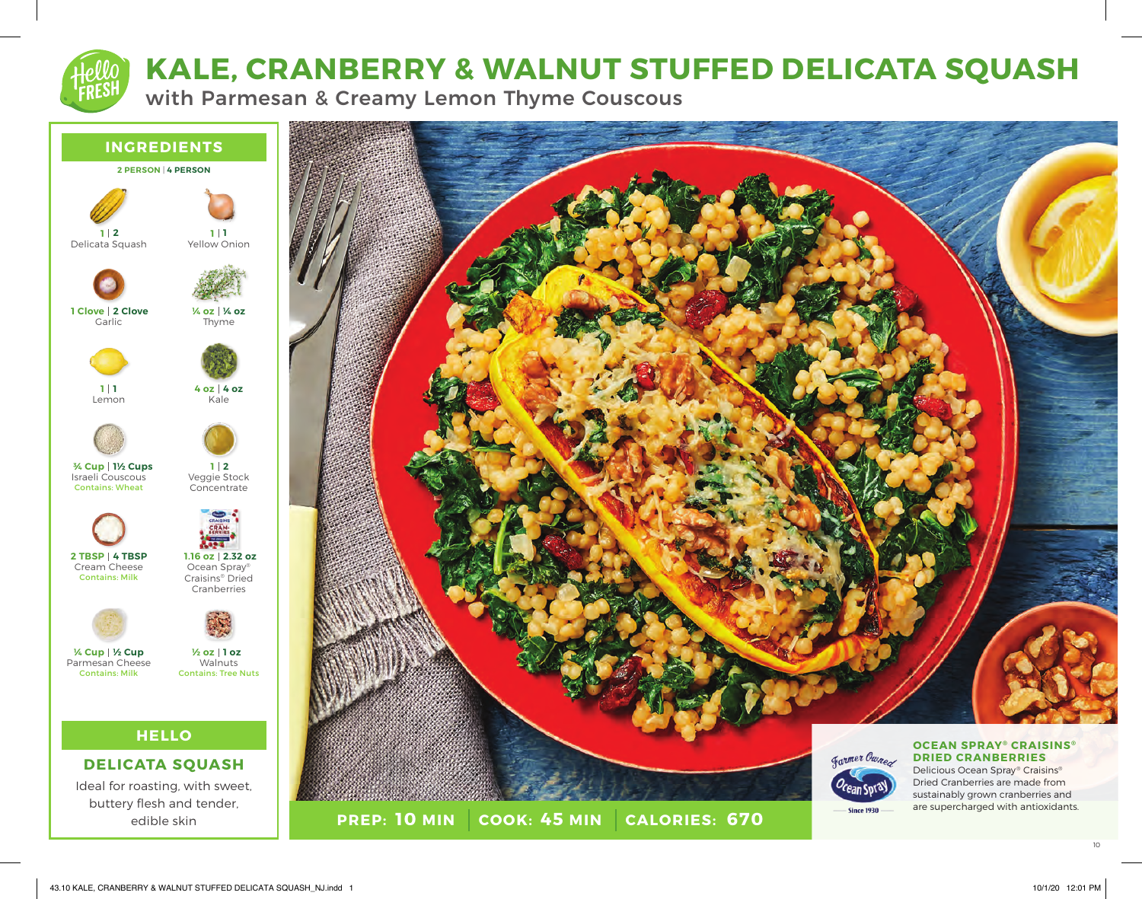# **KALE, CRANBERRY & WALNUT STUFFED DELICATA SQUASH**

with Parmesan & Creamy Lemon Thyme Couscous



Granmer Owner  $\overline{\phantom{0}}$  Since 1930  $-$ **PREP: 10 MIN COOK:** 45 MIN **10 MIN 45 MIN 670**

#### **OCEAN SPRAY® CRAISINS® DRIED CRANBERRIES**

Delicious Ocean Spray® Craisins® Dried Cranberries are made from sustainably grown cranberries and are supercharged with antioxidants.